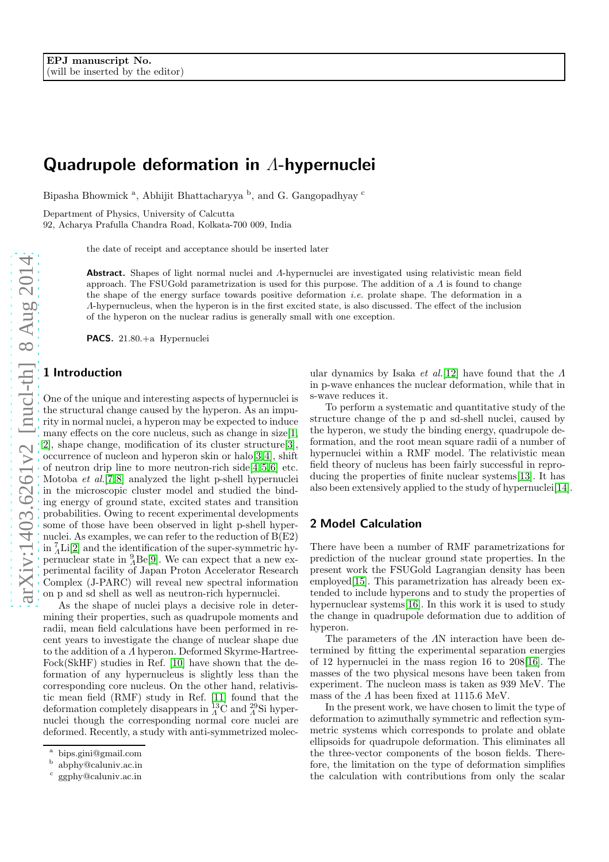# Quadrupole deformation in Λ-hypernuclei

Bipasha Bhowmick <sup>a</sup>, Abhijit Bhattacharyya <sup>b</sup>, and G. Gangopadhyay  $\frac{c}{c}$ 

Department of Physics, University of Calcutta

92, Acharya Prafulla Chandra Road, Kolkata-700 009, India

the date of receipt and acceptance should be inserted later

Abstract. Shapes of light normal nuclei and A-hypernuclei are investigated using relativistic mean field approach. The FSUGold parametrization is used for this purpose. The addition of a  $\Lambda$  is found to change the shape of the energy surface towards positive deformation *i.e.* prolate shape. The deformation in a Λ-hypernucleus, when the hyperon is in the first excited state, is also discussed. The effect of the inclusion of the hyperon on the nuclear radius is generally small with one exception.

PACS. 21.80.+a Hypernuclei

#### 1 Introduction

One of the unique and interesting aspects of hypernuclei is the structural change caused by the hyperon. As an impurity in normal nuclei, a hyperon may be expected to induce many effects on the core nucleus, such as change in size[\[1,](#page-4-0)] [2\]](#page-4-1), shape change, modification of its cluster structure[\[3\]](#page-4-2), occurrence of nucleon and hyperon skin or halo[\[3,](#page-4-2)[4\]](#page-4-3), shift of neutron drip line to more neutron-rich side $[4,5,6]$  $[4,5,6]$  $[4,5,6]$  etc. Motoba et al.[\[7,](#page-4-6)[8\]](#page-4-7) analyzed the light p-shell hypernuclei in the microscopic cluster model and studied the binding energy of ground state, excited states and transition probabilities. Owing to recent experimental developments some of those have been observed in light p-shell hypernuclei. As examples, we can refer to the reduction of  $B(E2)$ in  ${}_{A}^{7}\text{Li}[2]$  ${}_{A}^{7}\text{Li}[2]$  and the identification of the super-symmetric hypernuclear state in  ${}^{9}_{4}$ Be[\[9\]](#page-4-8). We can expect that a new experimental facility of Japan Proton Accelerator Research Complex (J-PARC) will reveal new spectral information on p and sd shell as well as neutron-rich hypernuclei.

As the shape of nuclei plays a decisive role in determining their properties, such as quadrupole moments and radii, mean field calculations have been performed in recent years to investigate the change of nuclear shape due to the addition of a Λ hyperon. Deformed Skyrme-Hartree-Fock(SkHF) studies in Ref. [\[10\]](#page-4-9) have shown that the deformation of any hypernucleus is slightly less than the corresponding core nucleus. On the other hand, relativistic mean field (RMF) study in Ref. [\[11\]](#page-4-10) found that the deformation completely disappears in  ${}_{A}^{13}$ C and  ${}_{A}^{29}$ Si hypernuclei though the corresponding normal core nuclei are deformed. Recently, a study with anti-symmetrized molec-

ular dynamics by Isaka *et al.*[\[12\]](#page-4-11) have found that the  $\Lambda$ in p-wave enhances the nuclear deformation, while that in s-wave reduces it.

To perform a systematic and quantitative study of the structure change of the p and sd-shell nuclei, caused by the hyperon, we study the binding energy, quadrupole deformation, and the root mean square radii of a number of hypernuclei within a RMF model. The relativistic mean field theory of nucleus has been fairly successful in reproducing the properties of finite nuclear systems[\[13\]](#page-4-12). It has also been extensively applied to the study of hypernuclei[\[14\]](#page-4-13).

## 2 Model Calculation

There have been a number of RMF parametrizations for prediction of the nuclear ground state properties. In the present work the FSUGold Lagrangian density has been employed<sup>[\[15\]](#page-4-14)</sup>. This parametrization has already been extended to include hyperons and to study the properties of hypernuclear systems [\[16\]](#page-4-15). In this work it is used to study the change in quadrupole deformation due to addition of hyperon.

The parameters of the ΛN interaction have been determined by fitting the experimental separation energies of 12 hypernuclei in the mass region 16 to 208[\[16\]](#page-4-15). The masses of the two physical mesons have been taken from experiment. The nucleon mass is taken as 939 MeV. The mass of the  $\Lambda$  has been fixed at 1115.6 MeV.

In the present work, we have chosen to limit the type of deformation to azimuthally symmetric and reflection symmetric systems which corresponds to prolate and oblate ellipsoids for quadrupole deformation. This eliminates all the three-vector components of the boson fields. Therefore, the limitation on the type of deformation simplifies the calculation with contributions from only the scalar

<sup>&</sup>lt;sup>a</sup> bips.gini@gmail.com<br><sup>b</sup> abphy@caluniy ac in

abphy@caluniv.ac.in

c ggphy@caluniv.ac.in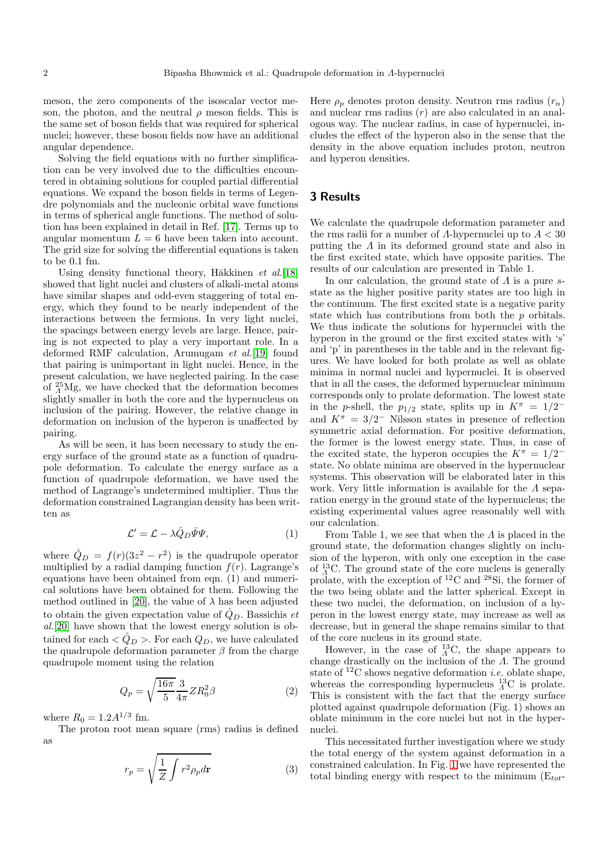meson, the zero components of the isoscalar vector meson, the photon, and the neutral  $\rho$  meson fields. This is the same set of boson fields that was required for spherical nuclei; however, these boson fields now have an additional angular dependence.

Solving the field equations with no further simplification can be very involved due to the difficulties encountered in obtaining solutions for coupled partial differential equations. We expand the boson fields in terms of Legendre polynomials and the nucleonic orbital wave functions in terms of spherical angle functions. The method of solution has been explained in detail in Ref. [\[17\]](#page-4-16). Terms up to angular momentum  $L = 6$  have been taken into account. The grid size for solving the differential equations is taken to be 0.1 fm.

Using density functional theory, H $\bar{a}$ kkinen *et al.*[\[18\]](#page-4-17) showed that light nuclei and clusters of alkali-metal atoms have similar shapes and odd-even staggering of total energy, which they found to be nearly independent of the interactions between the fermions. In very light nuclei, the spacings between energy levels are large. Hence, pairing is not expected to play a very important role. In a deformed RMF calculation, Arumugam et al.[\[19\]](#page-4-18) found that pairing is unimportant in light nuclei. Hence, in the present calculation, we have neglected pairing. In the case of  $^{25}_{A}Mg$ , we have checked that the deformation becomes slightly smaller in both the core and the hypernucleus on inclusion of the pairing. However, the relative change in deformation on inclusion of the hyperon is unaffected by pairing.

As will be seen, it has been necessary to study the energy surface of the ground state as a function of quadrupole deformation. To calculate the energy surface as a function of quadrupole deformation, we have used the method of Lagrange's undetermined multiplier. Thus the deformation constrained Lagrangian density has been written as

$$
\mathcal{L}' = \mathcal{L} - \lambda \hat{Q}_D \bar{\Psi} \Psi, \tag{1}
$$

where  $\hat{Q}_D = f(r)(3z^2 - r^2)$  is the quadrupole operator multiplied by a radial damping function  $f(r)$ . Lagrange's equations have been obtained from eqn. (1) and numerical solutions have been obtained for them. Following the method outlined in [\[20\]](#page-4-19), the value of  $\lambda$  has been adjusted to obtain the given expectation value of  $\hat{Q}_D$ . Bassichis et al.[\[20\]](#page-4-19) have shown that the lowest energy solution is obtained for each  $\langle \hat{Q}_D \rangle$ . For each  $Q_D$ , we have calculated the quadrupole deformation parameter  $\beta$  from the charge quadrupole moment using the relation

$$
Q_p = \sqrt{\frac{16\pi}{5}} \frac{3}{4\pi} Z R_0^2 \beta \tag{2}
$$

where  $R_0 = 1.2 A^{1/3}$  fm.

The proton root mean square (rms) radius is defined as

$$
r_p = \sqrt{\frac{1}{Z} \int r^2 \rho_p d\mathbf{r}} \tag{3}
$$

Here  $\rho_p$  denotes proton density. Neutron rms radius  $(r_n)$ and nuclear rms radius  $(r)$  are also calculated in an analogous way. The nuclear radius, in case of hypernuclei, includes the effect of the hyperon also in the sense that the density in the above equation includes proton, neutron and hyperon densities.

#### 3 Results

We calculate the quadrupole deformation parameter and the rms radii for a number of  $\Lambda$ -hypernuclei up to  $A < 30$ putting the Λ in its deformed ground state and also in the first excited state, which have opposite parities. The results of our calculation are presented in Table 1.

In our calculation, the ground state of  $\Lambda$  is a pure sstate as the higher positive parity states are too high in the continuum. The first excited state is a negative parity state which has contributions from both the p orbitals. We thus indicate the solutions for hypernuclei with the hyperon in the ground or the first excited states with 's' and 'p' in parentheses in the table and in the relevant figures. We have looked for both prolate as well as oblate minima in normal nuclei and hypernuclei. It is observed that in all the cases, the deformed hypernuclear minimum corresponds only to prolate deformation. The lowest state in the p-shell, the  $p_{1/2}$  state, splits up in  $K^{\pi} = 1/2^{-\frac{1}{2}}$ and  $K^{\pi} = 3/2^-$  Nilsson states in presence of reflection symmetric axial deformation. For positive deformation, the former is the lowest energy state. Thus, in case of the excited state, the hyperon occupies the  $K^{\pi} = 1/2^{-\frac{1}{2}}$ state. No oblate minima are observed in the hypernuclear systems. This observation will be elaborated later in this work. Very little information is available for the Λ separation energy in the ground state of the hypernucleus; the existing experimental values agree reasonably well with our calculation.

From Table 1, we see that when the  $\Lambda$  is placed in the ground state, the deformation changes slightly on inclusion of the hyperon, with only one exception in the case of  $^{13}_{A}$ C. The ground state of the core nucleus is generally prolate, with the exception of <sup>12</sup>C and <sup>28</sup>Si, the former of the two being oblate and the latter spherical. Except in these two nuclei, the deformation, on inclusion of a hyperon in the lowest energy state, may increase as well as decrease, but in general the shape remains similar to that of the core nucleus in its ground state.

However, in the case of  $^{13}_{A}$ C, the shape appears to change drastically on the inclusion of the Λ. The ground state of  ${}^{12}C$  shows negative deformation *i.e.* oblate shape, whereas the corresponding hypernucleus  $^{13}_{\Lambda}$ C is prolate. This is consistent with the fact that the energy surface plotted against quadrupole deformation (Fig. 1) shows an oblate minimum in the core nuclei but not in the hypernuclei.

This necessitated further investigation where we study the total energy of the system against deformation in a constrained calculation. In Fig. [1](#page-2-0) we have represented the total binding energy with respect to the minimum  $(E_{tot}$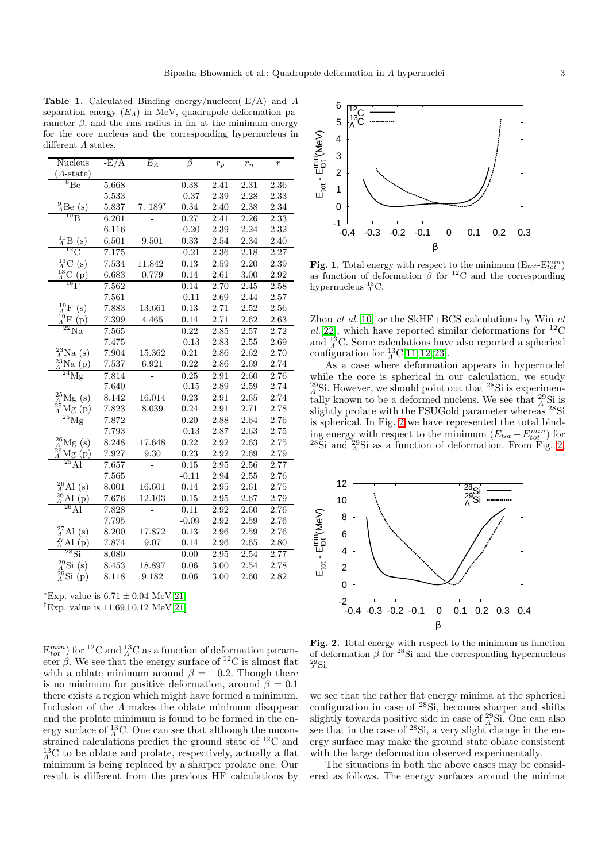Table 1. Calculated Binding energy/nucleon(-E/A) and Λ separation energy  $(E_A)$  in MeV, quadrupole deformation parameter  $\beta$ , and the rms radius in fm at the minimum energy for the core nucleus and the corresponding hypernucleus in different Λ states.

| Nucleus                                                                                                                                                                                                                                                                                                                                                           | $-E/A$ | $E_A$              | β       | $r_p$ | $r_n$ | $\overline{r}$ |
|-------------------------------------------------------------------------------------------------------------------------------------------------------------------------------------------------------------------------------------------------------------------------------------------------------------------------------------------------------------------|--------|--------------------|---------|-------|-------|----------------|
| $(A\text{-state})$                                                                                                                                                                                                                                                                                                                                                |        |                    |         |       |       |                |
| ${}^{8}$ Be                                                                                                                                                                                                                                                                                                                                                       | 5.668  |                    | 0.38    | 2.41  | 2.31  | 2.36           |
|                                                                                                                                                                                                                                                                                                                                                                   | 5.533  |                    | $-0.37$ | 2.39  | 2.28  | 2.33           |
| $\frac{9}{4}$ Be (s)                                                                                                                                                                                                                                                                                                                                              | 5.837  | $7.189*$           | 0.34    | 2.40  | 2.38  | 2.34           |
|                                                                                                                                                                                                                                                                                                                                                                   | 6.201  |                    | 0.27    | 2.41  | 2.26  | 2.33           |
|                                                                                                                                                                                                                                                                                                                                                                   | 6.116  |                    | $-0.20$ | 2.39  | 2.24  | 2.32           |
| $\frac{^{11}_{A}\text{B}}{^{12}\text{C}}$                                                                                                                                                                                                                                                                                                                         | 6.501  | 9.501              | 0.33    | 2.54  | 2.34  | 2.40           |
|                                                                                                                                                                                                                                                                                                                                                                   | 7.175  |                    | $-0.21$ | 2.36  | 2.18  | 2.27           |
|                                                                                                                                                                                                                                                                                                                                                                   | 7.534  | $11.842^{\dagger}$ | 0.13    | 2.59  | 2.20  | 2.39           |
| $^{13}_{\Lambda}{\rm C}$ (s) $^{13}_{\Lambda}{\rm C}$ (p) $^{13}_{\rm 18}$                                                                                                                                                                                                                                                                                        | 6.683  | 0.779              | 0.14    | 2.61  | 3.00  | 2.92           |
|                                                                                                                                                                                                                                                                                                                                                                   | 7.562  |                    | 0.14    | 2.70  | 2.45  | 2.58           |
|                                                                                                                                                                                                                                                                                                                                                                   | 7.561  |                    | $-0.11$ | 2.69  | 2.44  | 2.57           |
|                                                                                                                                                                                                                                                                                                                                                                   | 7.883  | 13.661             | 0.13    | 2.71  | 2.52  | 2.56           |
| $^{19}_{\Lambda}$ F (s)<br>$^{19}_{\Lambda}$ F (p)                                                                                                                                                                                                                                                                                                                | 7.399  | 4.465              | 0.14    | 2.71  | 2.62  | 2.63           |
| $\overline{{}^{22}\text{Na}}$                                                                                                                                                                                                                                                                                                                                     | 7.565  |                    | 0.22    | 2.85  | 2.57  | 2.72           |
|                                                                                                                                                                                                                                                                                                                                                                   | 7.475  |                    | $-0.13$ | 2.83  | 2.55  | 2.69           |
| $^{23}_{\Lambda}$ Na (s)                                                                                                                                                                                                                                                                                                                                          | 7.904  | 15.362             | 0.21    | 2.86  | 2.62  | 2.70           |
| $^{23}_{\Lambda}$ Na<br>(p)                                                                                                                                                                                                                                                                                                                                       | 7.537  | 6.921              | 0.22    | 2.86  | 2.69  | 2.74           |
| $^{24}$ Mg                                                                                                                                                                                                                                                                                                                                                        | 7.814  |                    | 0.25    | 2.91  | 2.60  | 2.76           |
|                                                                                                                                                                                                                                                                                                                                                                   | 7.640  |                    | $-0.15$ | 2.89  | 2.59  | 2.74           |
| $^{25}_{4}$ Mg (s)                                                                                                                                                                                                                                                                                                                                                | 8.142  | 16.014             | 0.23    | 2.91  | 2.65  | 2.74           |
| $^{25}_{\Lambda}$ Mg $(p)$                                                                                                                                                                                                                                                                                                                                        | 7.823  | 8.039              | 0.24    | 2.91  | 2.71  | 2.78           |
| $^{25}\mathrm{Mg}$                                                                                                                                                                                                                                                                                                                                                | 7.872  |                    | 0.20    | 2.88  | 2.64  | 2.76           |
|                                                                                                                                                                                                                                                                                                                                                                   | 7.793  |                    | $-0.13$ | 2.87  | 2.63  | 2.75           |
| $^{26}_{\Lambda}$ Mg (s)                                                                                                                                                                                                                                                                                                                                          | 8.248  | 17.648             | 0.22    | 2.92  | 2.63  | 2.75           |
| $\frac{\frac{26}{4}Mg(p)}{25Al}$                                                                                                                                                                                                                                                                                                                                  | 7.927  | 9.30               | 0.23    | 2.92  | 2.69  | 2.79           |
|                                                                                                                                                                                                                                                                                                                                                                   | 7.657  |                    | 0.15    | 2.95  | 2.56  | 2.77           |
|                                                                                                                                                                                                                                                                                                                                                                   | 7.565  |                    | $-0.11$ | 2.94  | 2.55  | 2.76           |
|                                                                                                                                                                                                                                                                                                                                                                   | 8.001  | 16.601             | 0.14    | 2.95  | 2.61  | 2.75           |
| $\begin{array}{c} \stackrel{26}{\varLambda}Al \text{ (s)} \\ \stackrel{26}{\varLambda}Al \text{ (p)} \\ \stackrel{26}{\varLambda}Al \end{array}$                                                                                                                                                                                                                  | 7.676  | 12.103             | 0.15    | 2.95  | 2.67  | 2.79           |
|                                                                                                                                                                                                                                                                                                                                                                   | 7.828  |                    | 0.11    | 2.92  | 2.60  | 2.76           |
|                                                                                                                                                                                                                                                                                                                                                                   | 7.795  |                    | $-0.09$ | 2.92  | 2.59  | 2.76           |
| $^{27}_{\Lambda}$ Al (s)                                                                                                                                                                                                                                                                                                                                          | 8.200  | 17.872             | 0.13    | 2.96  | 2.59  | 2.76           |
| $\begin{array}{c}\n\stackrel{\leftrightarrow}{A}\n\stackrel{\leftrightarrow}{\longrightarrow}\n\stackrel{\rightarrow}{\longrightarrow}\n\stackrel{\rightarrow}{\longrightarrow}\n\stackrel{\rightarrow}{\longrightarrow}\n\stackrel{\rightarrow}{\longrightarrow}\n\stackrel{\rightarrow}{\longrightarrow}\n\stackrel{\rightarrow}{\longrightarrow}\n\end{array}$ | 7.874  | 9.07               | 0.14    | 2.96  | 2.65  | 2.80           |
| $^{28}\mathrm{Si}$                                                                                                                                                                                                                                                                                                                                                | 8.080  |                    | 0.00    | 2.95  | 2.54  | 2.77           |
| $^{29}_{\Lambda}$ Si (s)                                                                                                                                                                                                                                                                                                                                          | 8.453  | 18.897             | 0.06    | 3.00  | 2.54  | 2.78           |
| $^{29}_{\Lambda}$ Si (p)                                                                                                                                                                                                                                                                                                                                          | 8.118  | 9.182              | 0.06    | 3.00  | 2.60  | 2.82           |

\*Exp. value is  $6.71 \pm 0.04 \text{ MeV}[21]$  $6.71 \pm 0.04 \text{ MeV}[21]$ 

<sup>†</sup>Exp. value is  $11.69\pm0.12$  MeV[\[21\]](#page-4-20)

 $E_{tot}^{min}$ ) for <sup>12</sup>C and  ${}^{13}_{A}$ C as a function of deformation parameter  $\beta$ . We see that the energy surface of <sup>12</sup>C is almost flat with a oblate minimum around  $\beta = -0.2$ . Though there is no minimum for positive deformation, around  $\beta = 0.1$ there exists a region which might have formed a minimum. Inclusion of the Λ makes the oblate minimum disappear and the prolate minimum is found to be formed in the energy surface of  $^{13}_{\Lambda}$ C. One can see that although the unconstrained calculations predict the ground state of  ${}^{12}$ C and  $^{13}_{\Lambda}$ C to be oblate and prolate, respectively, actually a flat minimum is being replaced by a sharper prolate one. Our result is different from the previous HF calculations by



<span id="page-2-0"></span>Fig. 1. Total energy with respect to the minimum  $(E_{tot} - E_{tot}^{min})$ as function of deformation  $\beta$  for <sup>12</sup>C and the corresponding hypernucleus  ${}^{13}_{A}$ C.

Zhou et al.<sup>[\[10\]](#page-4-9)</sup> or the SkHF+BCS calculations by Win  $et$ al.[\[22\]](#page-4-21), which have reported similar deformations for  ${}^{12}$ C and  $^{13}_{A}$ C. Some calculations have also reported a spherical configuration for  ${}^{13}_{\Lambda}$ C[\[11,](#page-4-10)[12,](#page-4-11)[23\]](#page-4-22).

As a case where deformation appears in hypernuclei while the core is spherical in our calculation, we study  $^{29}_{\Lambda}$ Si. However, we should point out that  $^{28}$ Si is experimentally known to be a deformed nucleus. We see that  $^{29}_{\Lambda}$ Si is slightly prolate with the FSUGold parameter whereas <sup>28</sup>Si is spherical. In Fig. [2](#page-2-1) we have represented the total binding energy with respect to the minimum  $(E_{tot} - E_{tot}^{min})$  for  $^{28}$ Si and  $^{29}_{A}$ Si as a function of deformation. From Fig. [2,](#page-2-1)



<span id="page-2-1"></span>Fig. 2. Total energy with respect to the minimum as function of deformation  $\beta$  for <sup>28</sup>Si and the corresponding hypernucleus  $^{29}_{\Lambda}$ Si.

we see that the rather flat energy minima at the spherical configuration in case of <sup>28</sup>Si, becomes sharper and shifts slightly towards positive side in case of  $^{29}_{\Lambda}$ Si. One can also see that in the case of <sup>28</sup>Si, a very slight change in the energy surface may make the ground state oblate consistent with the large deformation observed experimentally.

The situations in both the above cases may be considered as follows. The energy surfaces around the minima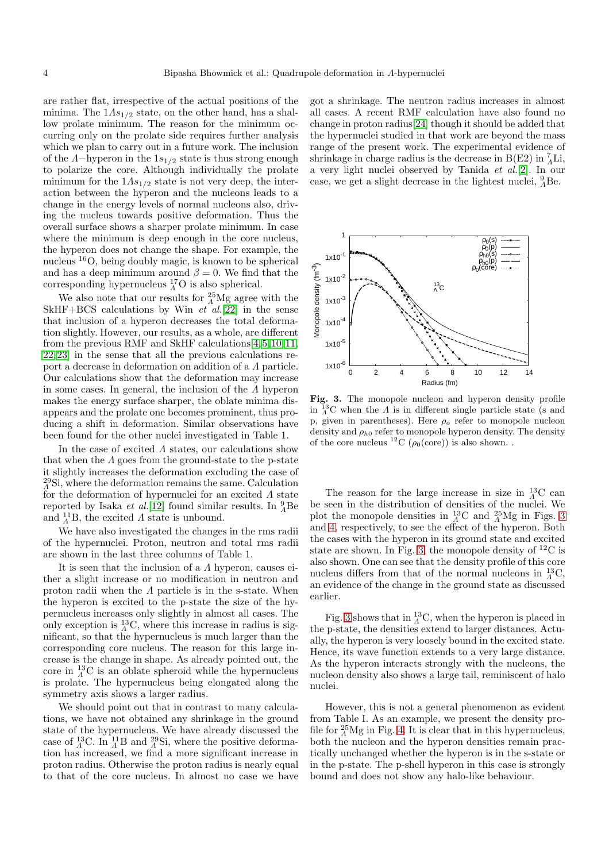are rather flat, irrespective of the actual positions of the minima. The  $1As<sub>1/2</sub>$  state, on the other hand, has a shallow prolate minimum. The reason for the minimum occurring only on the prolate side requires further analysis which we plan to carry out in a future work. The inclusion of the  $Λ$ -hyperon in the  $1s_{1/2}$  state is thus strong enough to polarize the core. Although individually the prolate minimum for the  $1As_{1/2}$  state is not very deep, the interaction between the hyperon and the nucleons leads to a change in the energy levels of normal nucleons also, driving the nucleus towards positive deformation. Thus the overall surface shows a sharper prolate minimum. In case where the minimum is deep enough in the core nucleus, the hyperon does not change the shape. For example, the nucleus <sup>16</sup>O, being doubly magic, is known to be spherical and has a deep minimum around  $\beta = 0$ . We find that the corresponding hypernucleus  ${}^{17}_{A}O$  is also spherical.

We also note that our results for  $^{25}_{\Lambda}$ Mg agree with the SkHF+BCS calculations by Win  $et\hat{al}$ .[\[22\]](#page-4-21) in the sense that inclusion of a hyperon decreases the total deformation slightly. However, our results, as a whole, are different from the previous RMF and SkHF calculations[\[4,](#page-4-3)[5,](#page-4-4)[10,](#page-4-9)[11,](#page-4-10) [22,](#page-4-21)[23\]](#page-4-22) in the sense that all the previous calculations report a decrease in deformation on addition of a Λ particle. Our calculations show that the deformation may increase in some cases. In general, the inclusion of the Λ hyperon makes the energy surface sharper, the oblate minima disappears and the prolate one becomes prominent, thus producing a shift in deformation. Similar observations have been found for the other nuclei investigated in Table 1.

In the case of excited  $\Lambda$  states, our calculations show that when the  $\Lambda$  goes from the ground-state to the p-state it slightly increases the deformation excluding the case of  $^{29}_{\Lambda}$ Si, where the deformation remains the same. Calculation for the deformation of hypernuclei for an excited  $\Lambda$  state reported by Isaka *et al.*[\[12\]](#page-4-11) found similar results. In  $^{9}_{A}$ Be and  $^{11}_{\Lambda}$ B, the excited  $\Lambda$  state is unbound.

We have also investigated the changes in the rms radii of the hypernuclei. Proton, neutron and total rms radii are shown in the last three columns of Table 1.

It is seen that the inclusion of a Λ hyperon, causes either a slight increase or no modification in neutron and proton radii when the  $\Lambda$  particle is in the s-state. When the hyperon is excited to the p-state the size of the hypernucleus increases only slightly in almost all cases. The only exception is  ${}^{13}_{A}$ C, where this increase in radius is significant, so that the hypernucleus is much larger than the corresponding core nucleus. The reason for this large increase is the change in shape. As already pointed out, the core in  ${}^{13}_{\Lambda}$ C is an oblate spheroid while the hypernucleus is prolate. The hypernucleus being elongated along the symmetry axis shows a larger radius.

We should point out that in contrast to many calculations, we have not obtained any shrinkage in the ground state of the hypernucleus. We have already discussed the case of  $^{13}_{\Lambda}$ C. In  $^{11}_{\Lambda}$ B and  $^{29}_{\Lambda}$ Si, where the positive deformation has increased, we find a more significant increase in proton radius. Otherwise the proton radius is nearly equal to that of the core nucleus. In almost no case we have got a shrinkage. The neutron radius increases in almost all cases. A recent RMF calculation have also found no change in proton radius[\[24\]](#page-4-23) though it should be added that the hypernuclei studied in that work are beyond the mass range of the present work. The experimental evidence of shrinkage in charge radius is the decrease in B(E2) in  $^7_\Lambda$ Li, a very light nuclei observed by Tanida  $et \ al.[2]$  $et \ al.[2]$ . In our case, we get a slight decrease in the lightest nuclei,  $^{9}_{A}$ Be.



<span id="page-3-0"></span>Fig. 3. The monopole nucleon and hyperon density profile in  ${}_{A}^{13}$ C when the  $\Lambda$  is in different single particle state (s and p, given in parentheses). Here  $\rho_o$  refer to monopole nucleon density and  $\rho_{h0}$  refer to monopole hyperon density. The density of the core nucleus <sup>12</sup>C ( $\rho_0(\text{core})$ ) is also shown.

The reason for the large increase in size in  $^{13}_{\Lambda}$ C can be seen in the distribution of densities of the nuclei. We plot the monopole densities in  $^{13}_{A}$ C and  $^{25}_{A}$ Mg in Figs. [3](#page-3-0) and [4,](#page-4-24) respectively, to see the effect of the hyperon. Both the cases with the hyperon in its ground state and excited state are shown. In Fig. [3,](#page-3-0) the monopole density of  ${}^{12}C$  is also shown. One can see that the density profile of this core nucleus differs from that of the normal nucleons in  $^{13}_{\Lambda}$ C, an evidence of the change in the ground state as discussed earlier.

Fig. [3](#page-3-0) shows that in  $^{13}_{\Lambda}$ C, when the hyperon is placed in the p-state, the densities extend to larger distances. Actually, the hyperon is very loosely bound in the excited state. Hence, its wave function extends to a very large distance. As the hyperon interacts strongly with the nucleons, the nucleon density also shows a large tail, reminiscent of halo nuclei.

However, this is not a general phenomenon as evident from Table I. As an example, we present the density profile for  $^{25}_{\Lambda}$ Mg in Fig. [4.](#page-4-24) It is clear that in this hypernucleus, both the nucleon and the hyperon densities remain practically unchanged whether the hyperon is in the s-state or in the p-state. The p-shell hyperon in this case is strongly bound and does not show any halo-like behaviour.